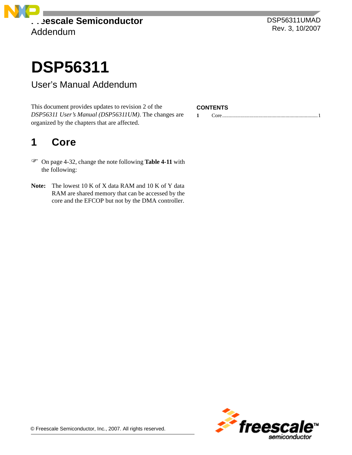

DSP56311UMAD Rev. 3, 10/2007

# **DSP56311**

### User's Manual Addendum

This document provides updates to revision 2 of the **CONTENTS** *DSP56311 User's Manual (DSP56311UM)*. The changes are organized by the chapters that are affected.

## <span id="page-0-0"></span>**1 Core**

- On page 4-32, change the note following **Table 4-11** with the following:
- **Note:** The lowest 10 K of X data RAM and 10 K of Y data RAM are shared memory that can be accessed by the core and the EFCOP but not by the DMA controller.

**1** [Core..........................................................................1](#page-0-0)